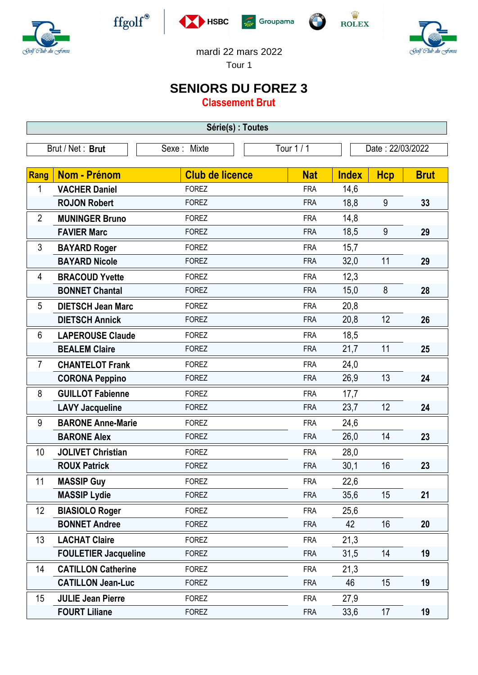



 $\operatorname{ffgolf}^{\circledast}$ 







mardi 22 mars 2022

Tour 1

## **SENIORS DU FOREZ 3**

**Classement Brut**

| Série(s) : Toutes |                                      |                        |                          |                      |                  |             |  |  |  |  |
|-------------------|--------------------------------------|------------------------|--------------------------|----------------------|------------------|-------------|--|--|--|--|
| Brut / Net: Brut  |                                      | Sexe: Mixte            | Tour 1 / 1               |                      | Date: 22/03/2022 |             |  |  |  |  |
|                   |                                      | <b>Club de licence</b> |                          |                      |                  |             |  |  |  |  |
| Rang<br>1         | Nom - Prénom<br><b>VACHER Daniel</b> | <b>FOREZ</b>           | <b>Nat</b><br><b>FRA</b> | <b>Index</b><br>14,6 | <b>Hcp</b>       | <b>Brut</b> |  |  |  |  |
|                   | <b>ROJON Robert</b>                  | <b>FOREZ</b>           | <b>FRA</b>               | 18,8                 | 9                | 33          |  |  |  |  |
|                   |                                      |                        |                          |                      |                  |             |  |  |  |  |
| $\overline{2}$    | <b>MUNINGER Bruno</b>                | <b>FOREZ</b>           | <b>FRA</b>               | 14,8                 |                  |             |  |  |  |  |
|                   | <b>FAVIER Marc</b>                   | <b>FOREZ</b>           | <b>FRA</b>               | 18,5                 | 9                | 29          |  |  |  |  |
| 3                 | <b>BAYARD Roger</b>                  | <b>FOREZ</b>           | <b>FRA</b>               | 15,7                 |                  |             |  |  |  |  |
|                   | <b>BAYARD Nicole</b>                 | <b>FOREZ</b>           | <b>FRA</b>               | 32,0                 | 11               | 29          |  |  |  |  |
| 4                 | <b>BRACOUD Yvette</b>                | <b>FOREZ</b>           | <b>FRA</b>               | 12,3                 |                  |             |  |  |  |  |
|                   | <b>BONNET Chantal</b>                | <b>FOREZ</b>           | <b>FRA</b>               | 15,0                 | 8                | 28          |  |  |  |  |
| 5                 | <b>DIETSCH Jean Marc</b>             | <b>FOREZ</b>           | <b>FRA</b>               | 20,8                 |                  |             |  |  |  |  |
|                   | <b>DIETSCH Annick</b>                | <b>FOREZ</b>           | <b>FRA</b>               | 20,8                 | 12               | 26          |  |  |  |  |
| 6                 | <b>LAPEROUSE Claude</b>              | <b>FOREZ</b>           | <b>FRA</b>               | 18,5                 |                  |             |  |  |  |  |
|                   | <b>BEALEM Claire</b>                 | <b>FOREZ</b>           | <b>FRA</b>               | 21,7                 | 11               | 25          |  |  |  |  |
| $\overline{7}$    | <b>CHANTELOT Frank</b>               | <b>FOREZ</b>           | <b>FRA</b>               | 24,0                 |                  |             |  |  |  |  |
|                   | <b>CORONA Peppino</b>                | <b>FOREZ</b>           | <b>FRA</b>               | 26,9                 | 13               | 24          |  |  |  |  |
| 8                 | <b>GUILLOT Fabienne</b>              | <b>FOREZ</b>           | <b>FRA</b>               | 17,7                 |                  |             |  |  |  |  |
|                   | <b>LAVY Jacqueline</b>               | <b>FOREZ</b>           | <b>FRA</b>               | 23,7                 | 12               | 24          |  |  |  |  |
| 9                 | <b>BARONE Anne-Marie</b>             | <b>FOREZ</b>           | <b>FRA</b>               | 24,6                 |                  |             |  |  |  |  |
|                   | <b>BARONE Alex</b>                   | <b>FOREZ</b>           | <b>FRA</b>               | 26,0                 | 14               | 23          |  |  |  |  |
| 10                | <b>JOLIVET Christian</b>             | <b>FOREZ</b>           | <b>FRA</b>               | 28,0                 |                  |             |  |  |  |  |
|                   | <b>ROUX Patrick</b>                  | <b>FOREZ</b>           | <b>FRA</b>               | 30,1                 | 16               | 23          |  |  |  |  |
| 11                | <b>MASSIP Guy</b>                    | <b>FOREZ</b>           | <b>FRA</b>               | 22,6                 |                  |             |  |  |  |  |
|                   | <b>MASSIP Lydie</b>                  | <b>FOREZ</b>           | <b>FRA</b>               | 35,6                 | 15               | 21          |  |  |  |  |
| 12                | <b>BIASIOLO Roger</b>                | <b>FOREZ</b>           | <b>FRA</b>               | 25,6                 |                  |             |  |  |  |  |
|                   | <b>BONNET Andree</b>                 | <b>FOREZ</b>           | <b>FRA</b>               | 42                   | 16               | 20          |  |  |  |  |
| 13                | <b>LACHAT Claire</b>                 | <b>FOREZ</b>           | <b>FRA</b>               | 21,3                 |                  |             |  |  |  |  |
|                   | <b>FOULETIER Jacqueline</b>          | <b>FOREZ</b>           | <b>FRA</b>               | 31,5                 | 14               | 19          |  |  |  |  |
| 14                | <b>CATILLON Catherine</b>            | <b>FOREZ</b>           | <b>FRA</b>               | 21,3                 |                  |             |  |  |  |  |
|                   | <b>CATILLON Jean-Luc</b>             | <b>FOREZ</b>           | <b>FRA</b>               | 46                   | 15               | 19          |  |  |  |  |
| 15                | <b>JULIE Jean Pierre</b>             | <b>FOREZ</b>           | <b>FRA</b>               | 27,9                 |                  |             |  |  |  |  |
|                   | <b>FOURT Liliane</b>                 | <b>FOREZ</b>           | <b>FRA</b>               | 33,6                 | 17               | 19          |  |  |  |  |
|                   |                                      |                        |                          |                      |                  |             |  |  |  |  |